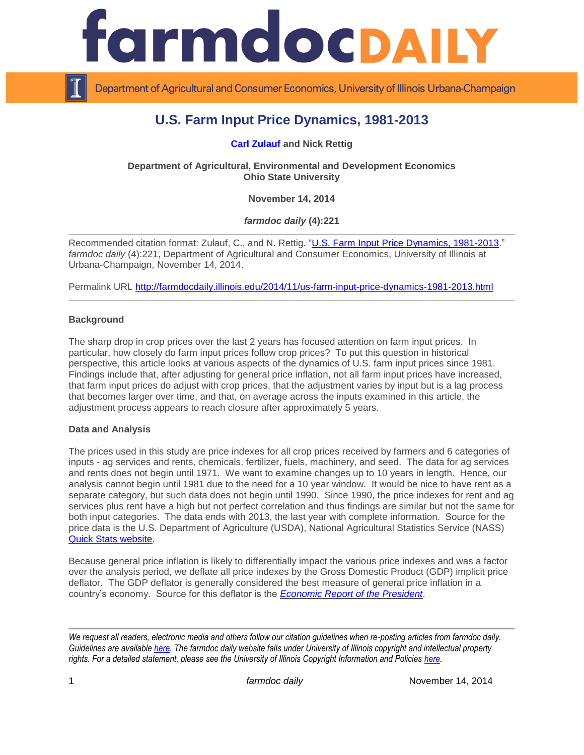

Department of Agricultural and Consumer Economics, University of Illinois Urbana-Champaign

# **U.S. Farm Input Price Dynamics, 1981-2013**

**[Carl Zulauf](http://aede.osu.edu/our-people/carl-zulauf) and Nick Rettig**

**Department of Agricultural, Environmental and Development Economics Ohio State University**

**November 14, 2014**

*farmdoc daily* **(4):221**

Recommended citation format: Zulauf, C., and N. Rettig. ["U.S. Farm Input Price Dynamics, 1981-2013.](http://farmdocdaily.illinois.edu/2014/11/us-farm-input-price-dynamics-1981-2013.html)" *farmdoc daily* (4):221, Department of Agricultural and Consumer Economics, University of Illinois at Urbana-Champaign, November 14, 2014.

Permalink URL<http://farmdocdaily.illinois.edu/2014/11/us-farm-input-price-dynamics-1981-2013.html>

#### **Background**

The sharp drop in crop prices over the last 2 years has focused attention on farm input prices. In particular, how closely do farm input prices follow crop prices? To put this question in historical perspective, this article looks at various aspects of the dynamics of U.S. farm input prices since 1981. Findings include that, after adjusting for general price inflation, not all farm input prices have increased, that farm input prices do adjust with crop prices, that the adjustment varies by input but is a lag process that becomes larger over time, and that, on average across the inputs examined in this article, the adjustment process appears to reach closure after approximately 5 years.

#### **Data and Analysis**

The prices used in this study are price indexes for all crop prices received by farmers and 6 categories of inputs - ag services and rents, chemicals, fertilizer, fuels, machinery, and seed. The data for ag services and rents does not begin until 1971. We want to examine changes up to 10 years in length. Hence, our analysis cannot begin until 1981 due to the need for a 10 year window. It would be nice to have rent as a separate category, but such data does not begin until 1990. Since 1990, the price indexes for rent and ag services plus rent have a high but not perfect correlation and thus findings are similar but not the same for both input categories. The data ends with 2013, the last year with complete information. Source for the price data is the U.S. Department of Agriculture (USDA), National Agricultural Statistics Service (NASS) [Quick Stats website.](http://www.nass.usda.gov/Quick_Stats/)

Because general price inflation is likely to differentially impact the various price indexes and was a factor over the analysis period, we deflate all price indexes by the Gross Domestic Product (GDP) implicit price deflator. The GDP deflator is generally considered the best measure of general price inflation in a country's economy. Source for this deflator is the *[Economic Report of the President](http://www.gpo.gov/fdsys/browse/collection.action?collectionCode=ERP)*.

*We request all readers, electronic media and others follow our citation guidelines when re-posting articles from farmdoc daily. Guidelines are available [here.](http://farmdocdaily.illinois.edu/citationguide.html) The farmdoc daily website falls under University of Illinois copyright and intellectual property rights. For a detailed statement, please see the University of Illinois Copyright Information and Policies [here.](http://www.cio.illinois.edu/policies/copyright/)*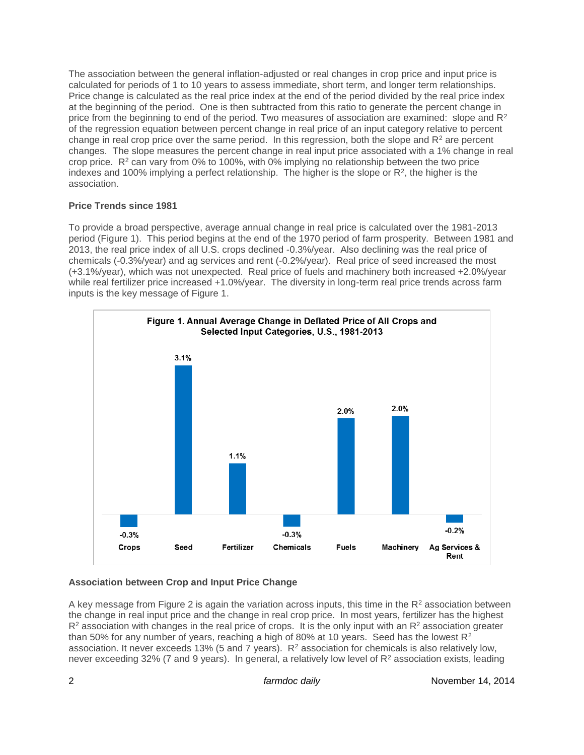The association between the general inflation-adjusted or real changes in crop price and input price is calculated for periods of 1 to 10 years to assess immediate, short term, and longer term relationships. Price change is calculated as the real price index at the end of the period divided by the real price index at the beginning of the period. One is then subtracted from this ratio to generate the percent change in price from the beginning to end of the period. Two measures of association are examined: slope and  $R<sup>2</sup>$ of the regression equation between percent change in real price of an input category relative to percent change in real crop price over the same period. In this regression, both the slope and  $R<sup>2</sup>$  are percent changes. The slope measures the percent change in real input price associated with a 1% change in real crop price. R<sup>2</sup> can vary from 0% to 100%, with 0% implying no relationship between the two price indexes and 100% implying a perfect relationship. The higher is the slope or R<sup>2</sup> , the higher is the association.

## **Price Trends since 1981**

To provide a broad perspective, average annual change in real price is calculated over the 1981-2013 period (Figure 1). This period begins at the end of the 1970 period of farm prosperity. Between 1981 and 2013, the real price index of all U.S. crops declined -0.3%/year. Also declining was the real price of chemicals (-0.3%/year) and ag services and rent (-0.2%/year). Real price of seed increased the most (+3.1%/year), which was not unexpected. Real price of fuels and machinery both increased +2.0%/year while real fertilizer price increased +1.0%/year. The diversity in long-term real price trends across farm inputs is the key message of Figure 1.



# **Association between Crop and Input Price Change**

A key message from Figure 2 is again the variation across inputs, this time in the  $R<sup>2</sup>$  association between the change in real input price and the change in real crop price. In most years, fertilizer has the highest  $R<sup>2</sup>$  association with changes in the real price of crops. It is the only input with an  $R<sup>2</sup>$  association greater than 50% for any number of years, reaching a high of 80% at 10 years. Seed has the lowest  $R^2$ association. It never exceeds 13% (5 and 7 years). R<sup>2</sup> association for chemicals is also relatively low, never exceeding 32% (7 and 9 years). In general, a relatively low level of R<sup>2</sup> association exists, leading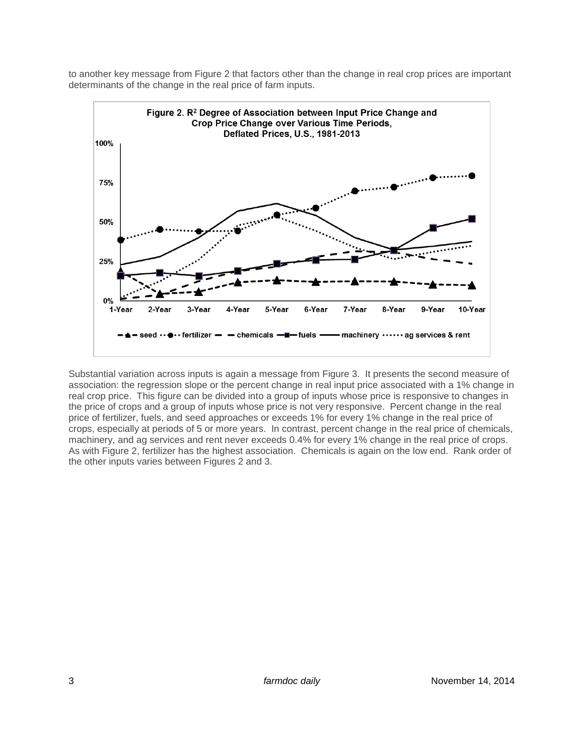to another key message from Figure 2 that factors other than the change in real crop prices are important determinants of the change in the real price of farm inputs.



Substantial variation across inputs is again a message from Figure 3. It presents the second measure of association: the regression slope or the percent change in real input price associated with a 1% change in real crop price. This figure can be divided into a group of inputs whose price is responsive to changes in the price of crops and a group of inputs whose price is not very responsive. Percent change in the real price of fertilizer, fuels, and seed approaches or exceeds 1% for every 1% change in the real price of crops, especially at periods of 5 or more years. In contrast, percent change in the real price of chemicals, machinery, and ag services and rent never exceeds 0.4% for every 1% change in the real price of crops. As with Figure 2, fertilizer has the highest association. Chemicals is again on the low end. Rank order of the other inputs varies between Figures 2 and 3.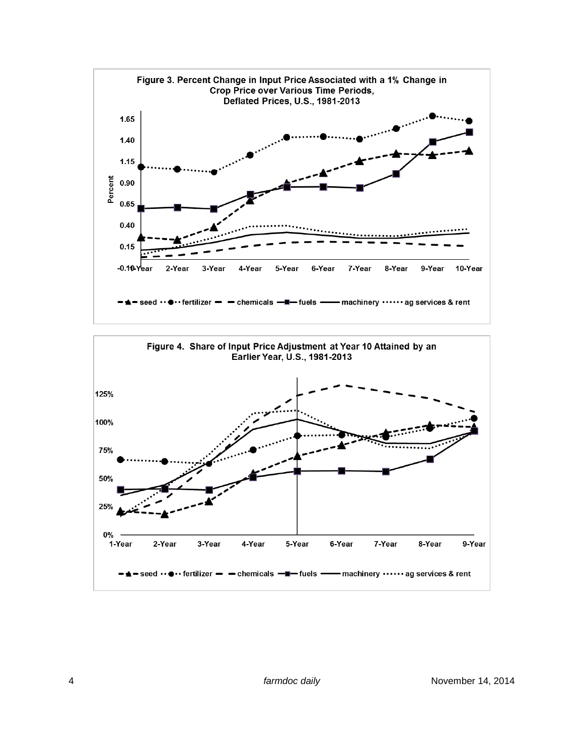

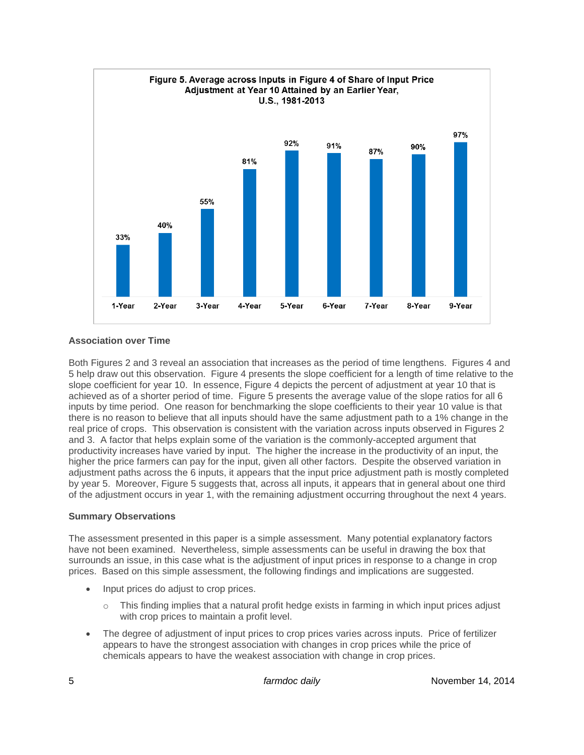

## **Association over Time**

Both Figures 2 and 3 reveal an association that increases as the period of time lengthens. Figures 4 and 5 help draw out this observation. Figure 4 presents the slope coefficient for a length of time relative to the slope coefficient for year 10. In essence, Figure 4 depicts the percent of adjustment at year 10 that is achieved as of a shorter period of time. Figure 5 presents the average value of the slope ratios for all 6 inputs by time period. One reason for benchmarking the slope coefficients to their year 10 value is that there is no reason to believe that all inputs should have the same adjustment path to a 1% change in the real price of crops. This observation is consistent with the variation across inputs observed in Figures 2 and 3. A factor that helps explain some of the variation is the commonly-accepted argument that productivity increases have varied by input. The higher the increase in the productivity of an input, the higher the price farmers can pay for the input, given all other factors. Despite the observed variation in adjustment paths across the 6 inputs, it appears that the input price adjustment path is mostly completed by year 5. Moreover, Figure 5 suggests that, across all inputs, it appears that in general about one third of the adjustment occurs in year 1, with the remaining adjustment occurring throughout the next 4 years.

## **Summary Observations**

The assessment presented in this paper is a simple assessment. Many potential explanatory factors have not been examined. Nevertheless, simple assessments can be useful in drawing the box that surrounds an issue, in this case what is the adjustment of input prices in response to a change in crop prices. Based on this simple assessment, the following findings and implications are suggested.

- Input prices do adjust to crop prices.
	- $\circ$  This finding implies that a natural profit hedge exists in farming in which input prices adjust with crop prices to maintain a profit level.
- The degree of adjustment of input prices to crop prices varies across inputs. Price of fertilizer appears to have the strongest association with changes in crop prices while the price of chemicals appears to have the weakest association with change in crop prices.